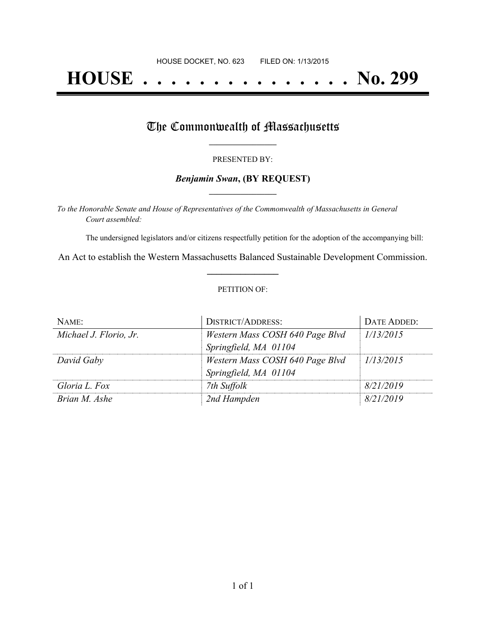## **HOUSE . . . . . . . . . . . . . . . No. 299**

## The Commonwealth of Massachusetts

#### PRESENTED BY:

### *Benjamin Swan***, (BY REQUEST) \_\_\_\_\_\_\_\_\_\_\_\_\_\_\_\_\_**

*To the Honorable Senate and House of Representatives of the Commonwealth of Massachusetts in General Court assembled:*

The undersigned legislators and/or citizens respectfully petition for the adoption of the accompanying bill:

An Act to establish the Western Massachusetts Balanced Sustainable Development Commission. **\_\_\_\_\_\_\_\_\_\_\_\_\_\_\_**

#### PETITION OF:

| NAME:                  | <b>DISTRICT/ADDRESS:</b>        | DATE ADDED: |
|------------------------|---------------------------------|-------------|
| Michael J. Florio, Jr. | Western Mass COSH 640 Page Blvd | 1/13/2015   |
|                        | Springfield, MA 01104           |             |
| David Gaby             | Western Mass COSH 640 Page Blvd | 1/13/2015   |
|                        | Springfield, MA 01104           |             |
| Gloria L. Fox          | 7th Suffolk                     | 8/21/2019   |
| Brian M. Ashe          | 2nd Hampden                     | 8/21/2019   |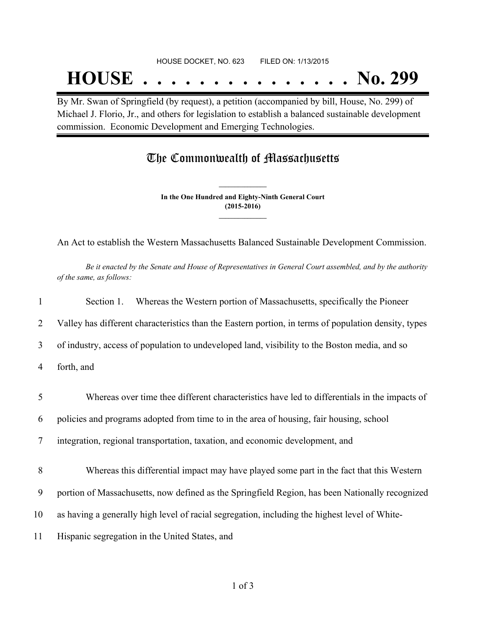# **HOUSE . . . . . . . . . . . . . . . No. 299**

By Mr. Swan of Springfield (by request), a petition (accompanied by bill, House, No. 299) of Michael J. Florio, Jr., and others for legislation to establish a balanced sustainable development commission. Economic Development and Emerging Technologies.

## The Commonwealth of Massachusetts

**In the One Hundred and Eighty-Ninth General Court (2015-2016) \_\_\_\_\_\_\_\_\_\_\_\_\_\_\_**

**\_\_\_\_\_\_\_\_\_\_\_\_\_\_\_**

An Act to establish the Western Massachusetts Balanced Sustainable Development Commission.

Be it enacted by the Senate and House of Representatives in General Court assembled, and by the authority *of the same, as follows:*

| $\mathbf{1}$   | Whereas the Western portion of Massachusetts, specifically the Pioneer<br>Section 1.                 |
|----------------|------------------------------------------------------------------------------------------------------|
| 2              | Valley has different characteristics than the Eastern portion, in terms of population density, types |
| $\overline{3}$ | of industry, access of population to undeveloped land, visibility to the Boston media, and so        |
| 4              | forth, and                                                                                           |
| 5              | Whereas over time thee different characteristics have led to differentials in the impacts of         |
| 6              | policies and programs adopted from time to in the area of housing, fair housing, school              |
| 7              | integration, regional transportation, taxation, and economic development, and                        |
| 8              | Whereas this differential impact may have played some part in the fact that this Western             |
| 9              | portion of Massachusetts, now defined as the Springfield Region, has been Nationally recognized      |
| 10             | as having a generally high level of racial segregation, including the highest level of White-        |
| 11             | Hispanic segregation in the United States, and                                                       |
|                |                                                                                                      |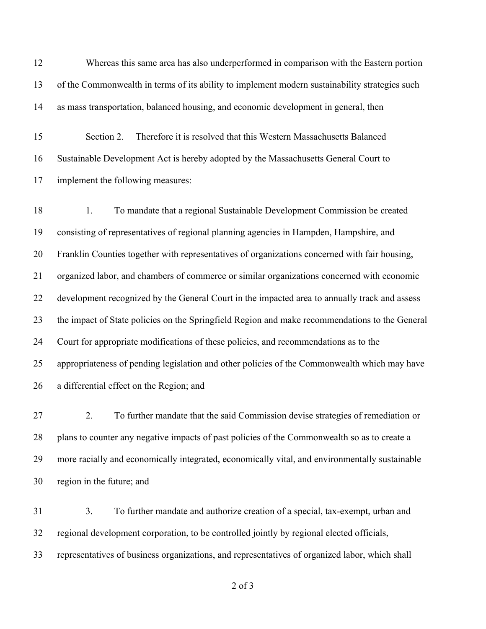Whereas this same area has also underperformed in comparison with the Eastern portion of the Commonwealth in terms of its ability to implement modern sustainability strategies such as mass transportation, balanced housing, and economic development in general, then

 Section 2. Therefore it is resolved that this Western Massachusetts Balanced Sustainable Development Act is hereby adopted by the Massachusetts General Court to implement the following measures:

 1. To mandate that a regional Sustainable Development Commission be created consisting of representatives of regional planning agencies in Hampden, Hampshire, and Franklin Counties together with representatives of organizations concerned with fair housing, organized labor, and chambers of commerce or similar organizations concerned with economic development recognized by the General Court in the impacted area to annually track and assess the impact of State policies on the Springfield Region and make recommendations to the General Court for appropriate modifications of these policies, and recommendations as to the appropriateness of pending legislation and other policies of the Commonwealth which may have a differential effect on the Region; and

 2. To further mandate that the said Commission devise strategies of remediation or plans to counter any negative impacts of past policies of the Commonwealth so as to create a more racially and economically integrated, economically vital, and environmentally sustainable region in the future; and

 3. To further mandate and authorize creation of a special, tax-exempt, urban and regional development corporation, to be controlled jointly by regional elected officials, representatives of business organizations, and representatives of organized labor, which shall

of 3